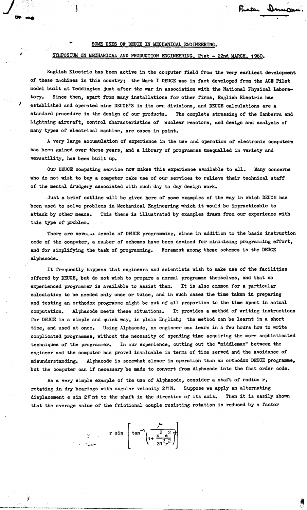## SOME USES OF DEUCE IN MECHANICAL ENGINEERING.

# SYMPOSIUM ON MECHANICAL AND PRODUCTION ENGINEERING, 21st - 22nd MARCH, 1960.

Lacen Dunco

English Electric has been active in the computer field from the very earliest development of these machines in this country; the Mark I DEUCE was in fact developed from the ACE Pilot model built at Teddington just after the war in association with the National Physical Laboratory. Since then, apart from many installations for other firms, English Electric has established and operated nine DEUCE'S in its own divisions, and DEUCE calculations are a standard procedure in the design of our products. The complete stressing of the Canberra and Lightning aircraft, control characteristics of nuclear reactors, and design and analysis of many types of electrical machine, are cases in point.

A very large accumulation of experience in the use and operation of electronic computers has been gained over these years, and a library of programmes unequalled in variety and versatility, has been built up.

Our DEUCE computing service now makes this experience available to all. Many concerns who do not wish to buy a computer make use of our services to relieve their technical staff of the mental drudgery associated with much day to day design work.

Just a brief outline will be given here of some examples of the way in which DEUCE has been used to solve problems in Mechanical Engineering which it would be impracticable to attack by other means. This theme is illustrated by examples drawn from our experience with this type of problem.

There are several levels of DEUCE programming, since in addition to the basic instruction code of the computer, a number of schemes have been devised for minimising programming effort, and for simplifying the task of programming. Foremost among these schemes is the DEUCE alphacode.

It frequently happens that engineers and scientists wish to make use of the facilities offered by DEUCE, but do not wish to prepare a normal programme themselves, and that no experienced programmer is available to assist them. It is also common for a particular calculation to be needed only once or twice, and in such oases the time taken in preparing and testing an orthodox programme might be out of all proportion to the time spent in actual computation. Alphacode meets these situations. It provides a method of writing instructions for DEUCE in a simple and quick way, in plain English; the method can be learnt in a short time, and used at once. Using Alphacode, an engineer can learn in a few hours how to write complicated programmes, without the necessity of spending time acquiring the more sophisticated techniques of the programmer. In our experience, cutting out the "middleman" between the engineer and the computer has proved invaluable in terms of time served and the avoidance of misunderstanding. Alphacode is somewhat slower in operation than an orthodox DEUCE programme, but the computer can if necessary be made to convert from Alphacode into the fast order code.

As a very simple example of the use of Alphacode, consider a shaft of radius r, rotating in dry bearings with angular velocity 2TΓN. Suppose we apply an alternating displacement <sup>e</sup> sin 2Πnt to the shaft in the direction of its axis. Then it is easily shown that the average value of the frictional couple resisting rotation is reduced by a factor

$$
r \sin \left[\tan^{-1}\left(\frac{\mu}{1 + \frac{n^2 e^2}{2N^2 r^2}}\right)\right]
$$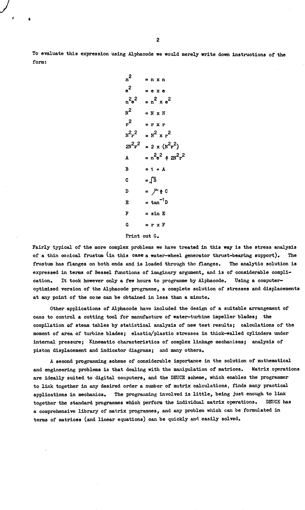To evaluate thia expression using Alphacode we would merely write down instructions of the form:

$$
n^{2} = n \times n
$$
\n
$$
e^{2} = e \times e
$$
\n
$$
n^{2}e^{2} = n^{2} \times e^{2}
$$
\n
$$
N^{2} = N \times N
$$
\n
$$
r^{2} = r \times r
$$
\n
$$
N^{2}r^{2} = N^{2} \times r^{2}
$$
\n
$$
2N^{2}r^{2} = 2 \times (N^{2}r^{2})
$$
\n
$$
A = n^{2}e^{2} \div 2N^{2}r^{2}
$$
\n
$$
B = 1 + A
$$
\n
$$
C = \sqrt{B}
$$
\n
$$
D = \mu \div C
$$
\n
$$
E = \tan^{-1}D
$$
\n
$$
F = \sin E
$$
\n
$$
G = r \times F
$$
\nPrint out G.

Fairly typical of the more complex problems we have treated in this way is the stress analysis of a thin conical frustum (in this case a water-wheel generator thrust-bearing support). The frustum has flanges on both ends and is loaded through the flanges. The analytic solution is expressed in terms of Bessel functions of imaginary argument, and is of considerable complication. It took however only a few hours to programme by Alphacode. Using a computeroptimised version of the Alphacode programme, a complete solution of stresses and displacements at any point of the cone can be obtained in less than a minute.

Other applications of Alphacode have included the design of a suitable arrangement of cams to control a cutting tool for manufacture of water-turbine impeller blades; the compilation of steam tables by statistical analysis of new test results; calculations of the moment of area of turbine blades; elastic/plastic stresses in thick-walled cylinders under internal pressure; Kinematio characteristics of complex linkage mechanisms; analysis of piston displacement and indicator diagrams; and many others.

A second programming scheme of considerable importance in the solution of mathematical and engineering problems is that dealing with the manipulation of matrices. Matrix operations are ideally suited to digital computers, and the DEUCE scheme, which enables the programmer to link together in any desired order a number of matrix calculations, finds many practical applications in mechanics. The programming involved is little, being just enough to link together the standard programmes which perform the individual matrix operations. DEUCE has a comprehensive library of matrix programmes, and any problem which can be formulated in terms of matrices (and linear equations) can be quickly and easily solved.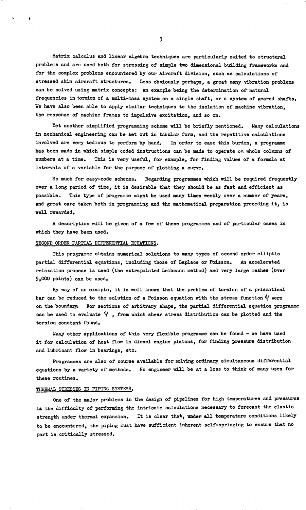Matrix calculus and linear algebra techniques are particularly suited to structural problems and are used both for stressing of simple two dimensional building frameworks and for the complex problems encountered by our Aircraft division, such as calculations of stressed skin aircraft structures. Less obviously perhaps, a great many vibration problems can be solved using matrix concepts: an example being the determination of natural frequencies in torsion of a multi-mass system on a single shaft, or a system of geared shafts. We have also been able to apply similar techniques to the isolation of machine vibration, the response of machine frames to impulsive excitation, and so on.

Yet another simplified programming scheme will be briefly mentioned. Many calculations in mechanical engineering can be set out in tabular form, and the repetitive calculations involved are very tedious to perform by hand. In order to ease this burden, a programme has been made in which simple coded instructions can be made to operate on whole columns of numbers at a time. This is very useful, for example, for finding values of a formula at intervals of a variable for the purpose of plotting a curve.

So much for easy-code schemes. Regarding programmes which will be required frequently over a long period of time, it is desirable that they should be as fast and efficient as possible. This type of programme might he used many times weekly over a number of years, and great care taken both in programming and the mathematical preparation preceding it, is well rewarded.

A description will be given of a few of these programmes and of particular cases in which they have been used.

## SECOND ORDER PARTIAL DIFFERENTIAL EQUATIONS.

 $\mathbf{c}$ 

This programme obtains numerical solutions to many types of second order elliptic partial differential equations, including those of Laplace or Poisson. An accelerated relaxation process is used (the extrapolated Leibmann method) and very large meshes (tver 5,000 points) can be used.

By way of an example, it is well known that the problem of torsion of a prismatioal bar can be reduced to the solution of a Poisson equation with the stress function  $\Psi$  zero on the boundary. For sections of arbitrary shape, the partial differential equation programme can be used to evaluate  $\Psi$ , from which shear stress distribution can be plotted and the torsion constant found.

Wany other applications of this very flexible programme can be found - we have used it for calculation of heat flow in diesel engine pistons, for finding pressure distribution and lubricant flow in bearings, etc.

Programmes are also of course available for solving ordinary simultaneous differential equations by a variety of methods. No engineer will be at a loss to think of many uses for these routines.

### THERMAL STRESSES IN PIPING SYSTEMS.

One of the major problems in the design of pipelines for high temperatures and pressures is the difficulty of performing the intricate calculations necessary to forecast the elastic strength under thermal expansion. It is clear that, under all temperature conditions likely to be encountered, the piping must have sufficient inherent self-springing to ensure that no part is critically stressed.

3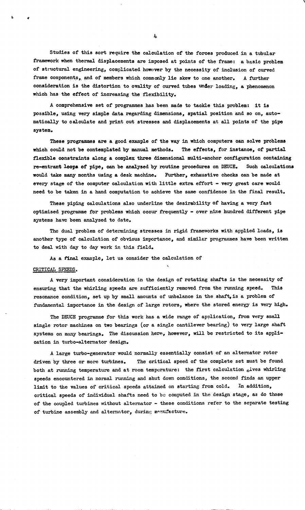Studies of this sort require the calculation of the forces produced in a tubular framework when thermal displacements are imposed at points of the frame: a basic problem of structural engineering, complicated however by the necessity of inclusion of curved frame components, and of members which commonly lie skew to one another. A further consideration is the distortion to ovality of curved tubes under loading, a phenomenon which has the effect of increasing the flexibility.

A comprehensive set of programmes has been made to tackle this problem: it is possible, using very simple data regarding dimensions, spatial position and so on, automatically to calculate and print out stresses and displacements at all points of the pipe system.

These programmes are a good example of the way in which computers can solve problems which could not be contemplated by manual methods. The effects, for instance, of partial flexible constraints along a complex three dimensional multi-anchor configuration containing re-entrant **loop\* of** pipe, can be analysed by routine procedures on DEUCE. Such calculations would take many months using a desk machine. Further, exhaustive checks can be made at every stage of the computer calculation with little extra effort - very great care would need to be taken in a hand computation to achieve the same confidence in the final result.

These piping calculations also underline the desirability of having a very fast optimised programme for problems which occur frequently - over nine hundred different pipe systems have been analysed to date.

The dual problem of determining stresses in rigid frameworks with applied loads, is another type of calculation of obvious importance, and similar programmes have been written to deal with day to day work in this field.

As a final example, let us consider the calculation of

### CRITICAL SPEEDS.

A very important consideration in the design of rotating shafts is the necessity of ensuring that the whirling speeds are sufficiently removed from the running speed. This resonance condition, set up by small amounts of unbalance in the shaft, is a problem of fundamental importance in the design of large rotors, where the stored energy is very high.

The DEUCE programme for this work has a wide range of application, from very small single rotor machines on two bearings (or a single cantilever bearing) to very large shaft systems on many bearings. The discussion here, however, will be restricted to its application in turbo-alternator design.

A large turbo-generator would normally essentially consist of an alternator rotor driven by three or more turbines. The critical speed of the complete set must be found both at running temperature and at room temperature: the first calculation gives whirling speeds encountered in normal running and shut down conditions, the second finds an upper limit to the values of critical speeds attained on starting from cold. In addition, critical speeds of individual shafts need to be computed in the design stage, as do those of the coupled turbines without alternator - these conditions refer to the separate testing of turbine assembly and alternator, during manufacture.